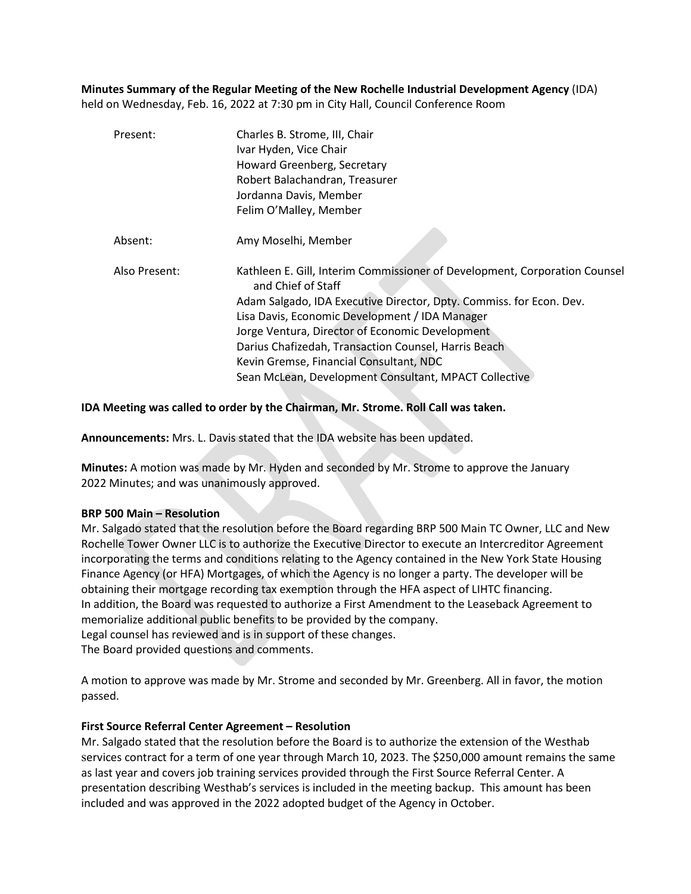**Minutes Summary of the Regular Meeting of the New Rochelle Industrial Development Agency** (IDA) held on Wednesday, Feb. 16, 2022 at 7:30 pm in City Hall, Council Conference Room

| Present:      | Charles B. Strome, III, Chair<br>Ivar Hyden, Vice Chair<br>Howard Greenberg, Secretary<br>Robert Balachandran, Treasurer<br>Jordanna Davis, Member<br>Felim O'Malley, Member                                                                                                                                                                                                                                                             |
|---------------|------------------------------------------------------------------------------------------------------------------------------------------------------------------------------------------------------------------------------------------------------------------------------------------------------------------------------------------------------------------------------------------------------------------------------------------|
| Absent:       | Amy Moselhi, Member                                                                                                                                                                                                                                                                                                                                                                                                                      |
| Also Present: | Kathleen E. Gill, Interim Commissioner of Development, Corporation Counsel<br>and Chief of Staff<br>Adam Salgado, IDA Executive Director, Dpty. Commiss. for Econ. Dev.<br>Lisa Davis, Economic Development / IDA Manager<br>Jorge Ventura, Director of Economic Development<br>Darius Chafizedah, Transaction Counsel, Harris Beach<br>Kevin Gremse, Financial Consultant, NDC<br>Sean McLean, Development Consultant, MPACT Collective |

### **IDA Meeting was called to order by the Chairman, Mr. Strome. Roll Call was taken.**

**Announcements:** Mrs. L. Davis stated that the IDA website has been updated.

**Minutes:** A motion was made by Mr. Hyden and seconded by Mr. Strome to approve the January 2022 Minutes; and was unanimously approved.

#### **BRP 500 Main – Resolution**

Mr. Salgado stated that the resolution before the Board regarding BRP 500 Main TC Owner, LLC and New Rochelle Tower Owner LLC is to authorize the Executive Director to execute an Intercreditor Agreement incorporating the terms and conditions relating to the Agency contained in the New York State Housing Finance Agency (or HFA) Mortgages, of which the Agency is no longer a party. The developer will be obtaining their mortgage recording tax exemption through the HFA aspect of LIHTC financing. In addition, the Board was requested to authorize a First Amendment to the Leaseback Agreement to memorialize additional public benefits to be provided by the company. Legal counsel has reviewed and is in support of these changes.

The Board provided questions and comments.

A motion to approve was made by Mr. Strome and seconded by Mr. Greenberg. All in favor, the motion passed.

#### **First Source Referral Center Agreement – Resolution**

Mr. Salgado stated that the resolution before the Board is to authorize the extension of the Westhab services contract for a term of one year through March 10, 2023. The \$250,000 amount remains the same as last year and covers job training services provided through the First Source Referral Center. A presentation describing Westhab's services is included in the meeting backup. This amount has been included and was approved in the 2022 adopted budget of the Agency in October.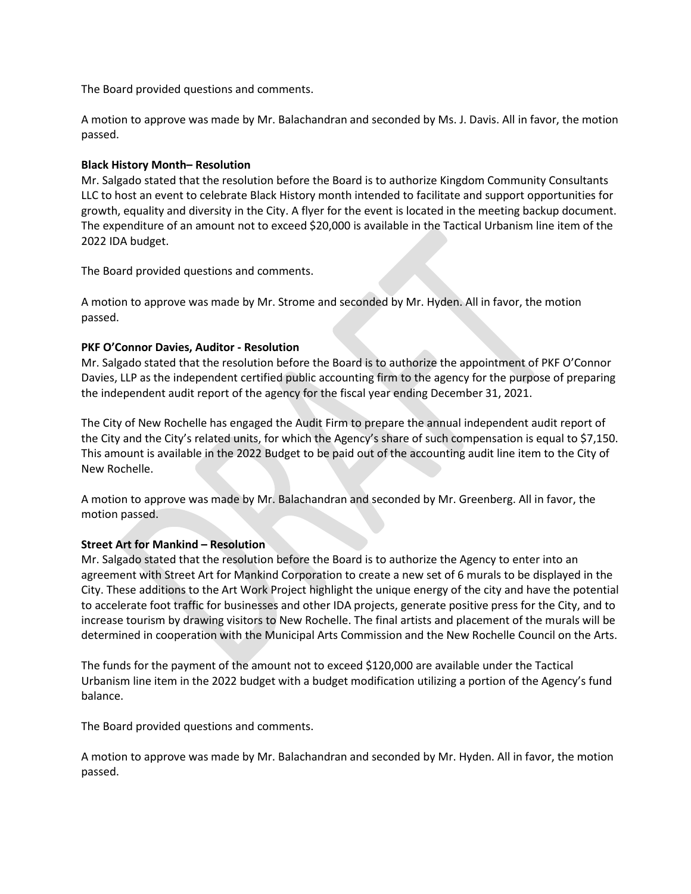The Board provided questions and comments.

A motion to approve was made by Mr. Balachandran and seconded by Ms. J. Davis. All in favor, the motion passed.

## **Black History Month– Resolution**

Mr. Salgado stated that the resolution before the Board is to authorize Kingdom Community Consultants LLC to host an event to celebrate Black History month intended to facilitate and support opportunities for growth, equality and diversity in the City. A flyer for the event is located in the meeting backup document. The expenditure of an amount not to exceed \$20,000 is available in the Tactical Urbanism line item of the 2022 IDA budget.

The Board provided questions and comments.

A motion to approve was made by Mr. Strome and seconded by Mr. Hyden. All in favor, the motion passed.

# **PKF O'Connor Davies, Auditor - Resolution**

Mr. Salgado stated that the resolution before the Board is to authorize the appointment of PKF O'Connor Davies, LLP as the independent certified public accounting firm to the agency for the purpose of preparing the independent audit report of the agency for the fiscal year ending December 31, 2021.

The City of New Rochelle has engaged the Audit Firm to prepare the annual independent audit report of the City and the City's related units, for which the Agency's share of such compensation is equal to \$7,150. This amount is available in the 2022 Budget to be paid out of the accounting audit line item to the City of New Rochelle.

A motion to approve was made by Mr. Balachandran and seconded by Mr. Greenberg. All in favor, the motion passed.

# **Street Art for Mankind – Resolution**

Mr. Salgado stated that the resolution before the Board is to authorize the Agency to enter into an agreement with Street Art for Mankind Corporation to create a new set of 6 murals to be displayed in the City. These additions to the Art Work Project highlight the unique energy of the city and have the potential to accelerate foot traffic for businesses and other IDA projects, generate positive press for the City, and to increase tourism by drawing visitors to New Rochelle. The final artists and placement of the murals will be determined in cooperation with the Municipal Arts Commission and the New Rochelle Council on the Arts.

The funds for the payment of the amount not to exceed \$120,000 are available under the Tactical Urbanism line item in the 2022 budget with a budget modification utilizing a portion of the Agency's fund balance.

The Board provided questions and comments.

A motion to approve was made by Mr. Balachandran and seconded by Mr. Hyden. All in favor, the motion passed.